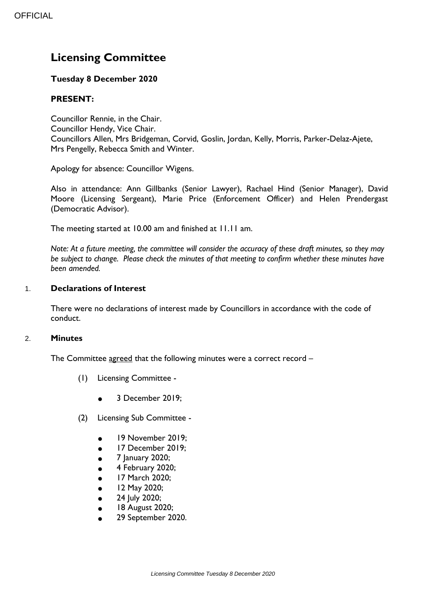# **Licensing Committee**

# **Tuesday 8 December 2020**

# **PRESENT:**

Councillor Rennie, in the Chair. Councillor Hendy, Vice Chair. Councillors Allen, Mrs Bridgeman, Corvid, Goslin, Jordan, Kelly, Morris, Parker-Delaz-Ajete, Mrs Pengelly, Rebecca Smith and Winter.

Apology for absence: Councillor Wigens.

Also in attendance: Ann Gillbanks (Senior Lawyer), Rachael Hind (Senior Manager), David Moore (Licensing Sergeant), Marie Price (Enforcement Officer) and Helen Prendergast (Democratic Advisor).

The meeting started at 10.00 am and finished at 11.11 am.

*Note: At a future meeting, the committee will consider the accuracy of these draft minutes, so they may be subject to change. Please check the minutes of that meeting to confirm whether these minutes have been amended.*

## 1. **Declarations of Interest**

There were no declarations of interest made by Councillors in accordance with the code of conduct.

#### 2. **Minutes**

The Committee agreed that the following minutes were a correct record -

- (1) Licensing Committee
	- $\bullet$  3 December 2019:
- (2) Licensing Sub Committee
	- 19 November 2019;
	- 17 December 2019;
	- 7 January 2020;
	- 4 February 2020;
	- 17 March 2020;
	- 12 May 2020;
	- 24 July 2020;
	- 18 August 2020;
	- 29 September 2020.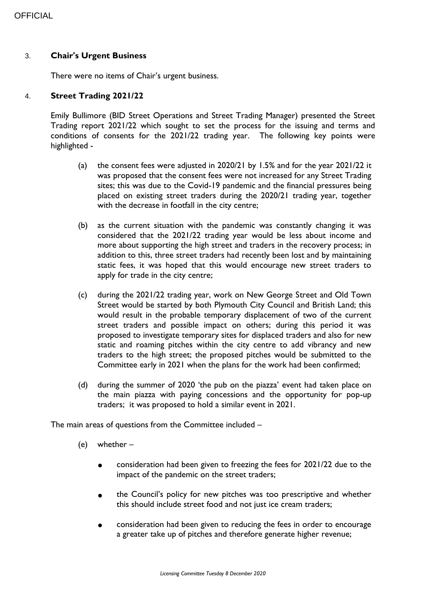#### 3. **Chair's Urgent Business**

There were no items of Chair's urgent business.

#### 4. **Street Trading 2021/22**

Emily Bullimore (BID Street Operations and Street Trading Manager) presented the Street Trading report 2021/22 which sought to set the process for the issuing and terms and conditions of consents for the 2021/22 trading year. The following key points were highlighted -

- (a) the consent fees were adjusted in 2020/21 by 1.5% and for the year 2021/22 it was proposed that the consent fees were not increased for any Street Trading sites; this was due to the Covid-19 pandemic and the financial pressures being placed on existing street traders during the 2020/21 trading year, together with the decrease in footfall in the city centre;
- (b) as the current situation with the pandemic was constantly changing it was considered that the 2021/22 trading year would be less about income and more about supporting the high street and traders in the recovery process; in addition to this, three street traders had recently been lost and by maintaining static fees, it was hoped that this would encourage new street traders to apply for trade in the city centre;
- (c) during the 2021/22 trading year, work on New George Street and Old Town Street would be started by both Plymouth City Council and British Land; this would result in the probable temporary displacement of two of the current street traders and possible impact on others; during this period it was proposed to investigate temporary sites for displaced traders and also for new static and roaming pitches within the city centre to add vibrancy and new traders to the high street; the proposed pitches would be submitted to the Committee early in 2021 when the plans for the work had been confirmed;
- (d) during the summer of 2020 'the pub on the piazza' event had taken place on the main piazza with paying concessions and the opportunity for pop-up traders; it was proposed to hold a similar event in 2021.

The main areas of questions from the Committee included –

- (e) whether
	- consideration had been given to freezing the fees for 2021/22 due to the impact of the pandemic on the street traders;
	- the Council's policy for new pitches was too prescriptive and whether this should include street food and not just ice cream traders;
	- consideration had been given to reducing the fees in order to encourage a greater take up of pitches and therefore generate higher revenue;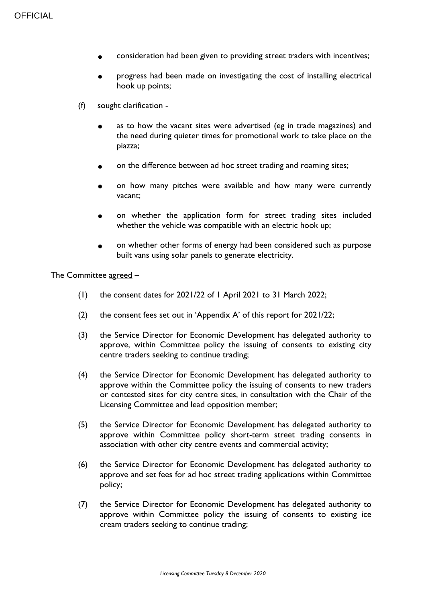- consideration had been given to providing street traders with incentives;
- progress had been made on investigating the cost of installing electrical hook up points;
- (f) sought clarification
	- as to how the vacant sites were advertised (eg in trade magazines) and the need during quieter times for promotional work to take place on the piazza;
	- on the difference between ad hoc street trading and roaming sites;
	- on how many pitches were available and how many were currently vacant;
	- on whether the application form for street trading sites included whether the vehicle was compatible with an electric hook up;
	- on whether other forms of energy had been considered such as purpose built vans using solar panels to generate electricity.

The Committee agreed -

- (1) the consent dates for 2021/22 of 1 April 2021 to 31 March 2022;
- (2) the consent fees set out in 'Appendix A' of this report for 2021/22;
- (3) the Service Director for Economic Development has delegated authority to approve, within Committee policy the issuing of consents to existing city centre traders seeking to continue trading;
- (4) the Service Director for Economic Development has delegated authority to approve within the Committee policy the issuing of consents to new traders or contested sites for city centre sites, in consultation with the Chair of the Licensing Committee and lead opposition member;
- (5) the Service Director for Economic Development has delegated authority to approve within Committee policy short-term street trading consents in association with other city centre events and commercial activity;
- (6) the Service Director for Economic Development has delegated authority to approve and set fees for ad hoc street trading applications within Committee policy;
- (7) the Service Director for Economic Development has delegated authority to approve within Committee policy the issuing of consents to existing ice cream traders seeking to continue trading;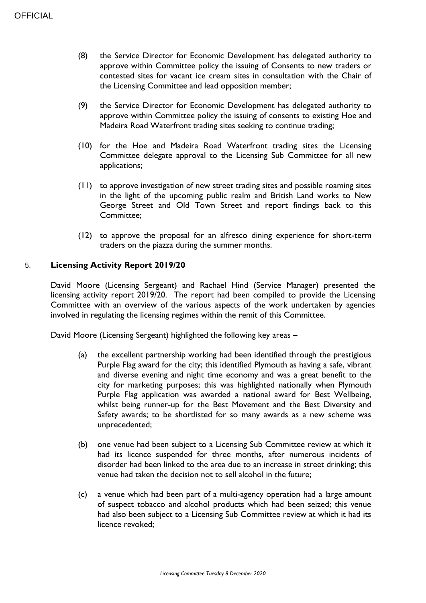- (8) the Service Director for Economic Development has delegated authority to approve within Committee policy the issuing of Consents to new traders or contested sites for vacant ice cream sites in consultation with the Chair of the Licensing Committee and lead opposition member;
- (9) the Service Director for Economic Development has delegated authority to approve within Committee policy the issuing of consents to existing Hoe and Madeira Road Waterfront trading sites seeking to continue trading;
- (10) for the Hoe and Madeira Road Waterfront trading sites the Licensing Committee delegate approval to the Licensing Sub Committee for all new applications;
- (11) to approve investigation of new street trading sites and possible roaming sites in the light of the upcoming public realm and British Land works to New George Street and Old Town Street and report findings back to this Committee;
- (12) to approve the proposal for an alfresco dining experience for short-term traders on the piazza during the summer months.

# 5. **Licensing Activity Report 2019/20**

David Moore (Licensing Sergeant) and Rachael Hind (Service Manager) presented the licensing activity report 2019/20. The report had been compiled to provide the Licensing Committee with an overview of the various aspects of the work undertaken by agencies involved in regulating the licensing regimes within the remit of this Committee.

David Moore (Licensing Sergeant) highlighted the following key areas –

- (a) the excellent partnership working had been identified through the prestigious Purple Flag award for the city; this identified Plymouth as having a safe, vibrant and diverse evening and night time economy and was a great benefit to the city for marketing purposes; this was highlighted nationally when Plymouth Purple Flag application was awarded a national award for Best Wellbeing, whilst being runner-up for the Best Movement and the Best Diversity and Safety awards; to be shortlisted for so many awards as a new scheme was unprecedented;
- (b) one venue had been subject to a Licensing Sub Committee review at which it had its licence suspended for three months, after numerous incidents of disorder had been linked to the area due to an increase in street drinking; this venue had taken the decision not to sell alcohol in the future;
- (c) a venue which had been part of a multi-agency operation had a large amount of suspect tobacco and alcohol products which had been seized; this venue had also been subject to a Licensing Sub Committee review at which it had its licence revoked;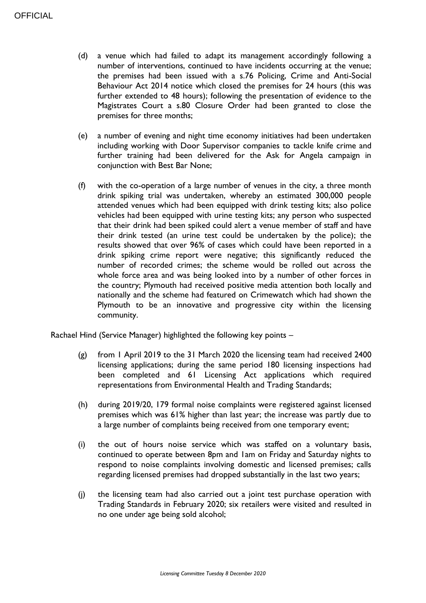- (d) a venue which had failed to adapt its management accordingly following a number of interventions, continued to have incidents occurring at the venue; the premises had been issued with a s.76 Policing, Crime and Anti-Social Behaviour Act 2014 notice which closed the premises for 24 hours (this was further extended to 48 hours); following the presentation of evidence to the Magistrates Court a s.80 Closure Order had been granted to close the premises for three months;
- (e) a number of evening and night time economy initiatives had been undertaken including working with Door Supervisor companies to tackle knife crime and further training had been delivered for the Ask for Angela campaign in conjunction with Best Bar None;
- (f) with the co-operation of a large number of venues in the city, a three month drink spiking trial was undertaken, whereby an estimated 300,000 people attended venues which had been equipped with drink testing kits; also police vehicles had been equipped with urine testing kits; any person who suspected that their drink had been spiked could alert a venue member of staff and have their drink tested (an urine test could be undertaken by the police); the results showed that over 96% of cases which could have been reported in a drink spiking crime report were negative; this significantly reduced the number of recorded crimes; the scheme would be rolled out across the whole force area and was being looked into by a number of other forces in the country; Plymouth had received positive media attention both locally and nationally and the scheme had featured on Crimewatch which had shown the Plymouth to be an innovative and progressive city within the licensing community.

Rachael Hind (Service Manager) highlighted the following key points –

- (g) from 1 April 2019 to the 31 March 2020 the licensing team had received 2400 licensing applications; during the same period 180 licensing inspections had been completed and 61 Licensing Act applications which required representations from Environmental Health and Trading Standards;
- (h) during 2019/20, 179 formal noise complaints were registered against licensed premises which was 61% higher than last year; the increase was partly due to a large number of complaints being received from one temporary event;
- (i) the out of hours noise service which was staffed on a voluntary basis, continued to operate between 8pm and 1am on Friday and Saturday nights to respond to noise complaints involving domestic and licensed premises; calls regarding licensed premises had dropped substantially in the last two years;
- (j) the licensing team had also carried out a joint test purchase operation with Trading Standards in February 2020; six retailers were visited and resulted in no one under age being sold alcohol;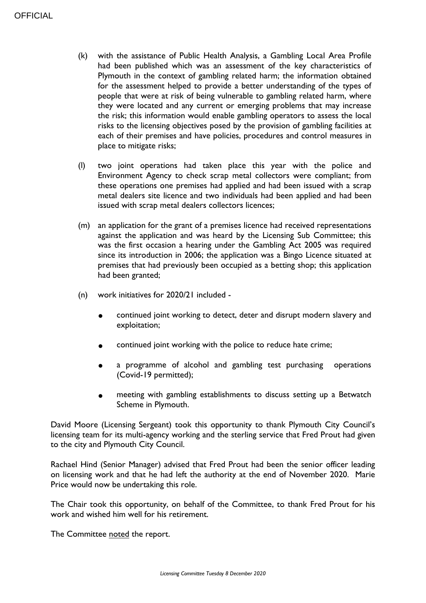- (k) with the assistance of Public Health Analysis, a Gambling Local Area Profile had been published which was an assessment of the key characteristics of Plymouth in the context of gambling related harm; the information obtained for the assessment helped to provide a better understanding of the types of people that were at risk of being vulnerable to gambling related harm, where they were located and any current or emerging problems that may increase the risk; this information would enable gambling operators to assess the local risks to the licensing objectives posed by the provision of gambling facilities at each of their premises and have policies, procedures and control measures in place to mitigate risks;
- (l) two joint operations had taken place this year with the police and Environment Agency to check scrap metal collectors were compliant; from these operations one premises had applied and had been issued with a scrap metal dealers site licence and two individuals had been applied and had been issued with scrap metal dealers collectors licences;
- (m) an application for the grant of a premises licence had received representations against the application and was heard by the Licensing Sub Committee; this was the first occasion a hearing under the Gambling Act 2005 was required since its introduction in 2006; the application was a Bingo Licence situated at premises that had previously been occupied as a betting shop; this application had been granted;
- (n) work initiatives for 2020/21 included
	- continued joint working to detect, deter and disrupt modern slavery and exploitation;
	- continued joint working with the police to reduce hate crime;
	- a programme of alcohol and gambling test purchasing operations (Covid-19 permitted);
	- meeting with gambling establishments to discuss setting up a Betwatch Scheme in Plymouth.

David Moore (Licensing Sergeant) took this opportunity to thank Plymouth City Council's licensing team for its multi-agency working and the sterling service that Fred Prout had given to the city and Plymouth City Council.

Rachael Hind (Senior Manager) advised that Fred Prout had been the senior officer leading on licensing work and that he had left the authority at the end of November 2020. Marie Price would now be undertaking this role.

The Chair took this opportunity, on behalf of the Committee, to thank Fred Prout for his work and wished him well for his retirement.

The Committee noted the report.